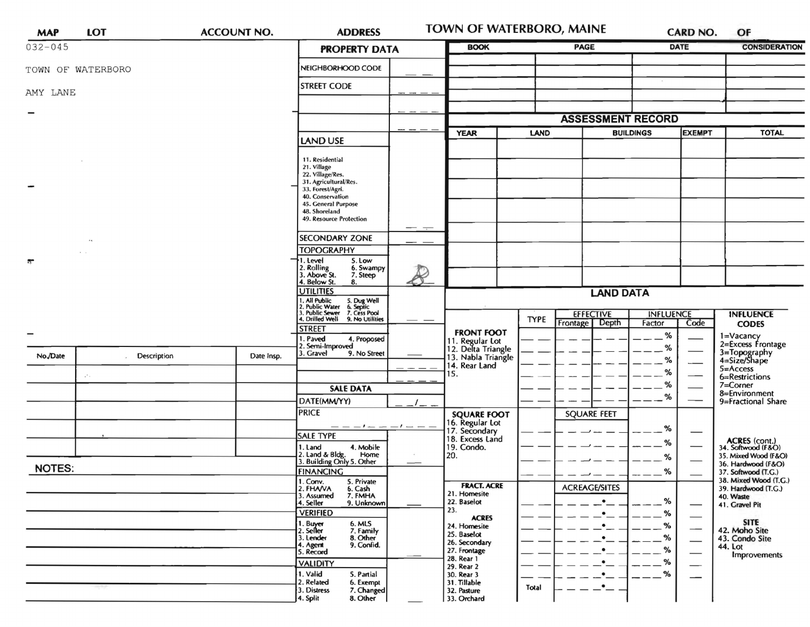| <b>MAP</b>            | <b>LOT</b>                           | <b>ACCOUNT NO.</b> | <b>ADDRESS</b>                                                                                                                                                                                                                                                                                                                                                                                                                                                |              | <b>TOWN OF WATERBORO, MAINE</b>                                                                                                                                                                    |             |                                                                                         |                                   | <b>CARD NO.</b>                                                                                                    | OF                                                                                                                                                       |
|-----------------------|--------------------------------------|--------------------|---------------------------------------------------------------------------------------------------------------------------------------------------------------------------------------------------------------------------------------------------------------------------------------------------------------------------------------------------------------------------------------------------------------------------------------------------------------|--------------|----------------------------------------------------------------------------------------------------------------------------------------------------------------------------------------------------|-------------|-----------------------------------------------------------------------------------------|-----------------------------------|--------------------------------------------------------------------------------------------------------------------|----------------------------------------------------------------------------------------------------------------------------------------------------------|
| $032 - 045$           |                                      |                    | <b>PROPERTY DATA</b>                                                                                                                                                                                                                                                                                                                                                                                                                                          | <b>BOOK</b>  |                                                                                                                                                                                                    | <b>PAGE</b> | <b>DATE</b>                                                                             |                                   | <b>CONSIDERATION</b>                                                                                               |                                                                                                                                                          |
|                       | TOWN OF WATERBORO                    |                    | NEIGHBORHOOD CODE                                                                                                                                                                                                                                                                                                                                                                                                                                             |              |                                                                                                                                                                                                    |             |                                                                                         |                                   |                                                                                                                    |                                                                                                                                                          |
| AMY LANE              |                                      |                    | <b>STREET CODE</b>                                                                                                                                                                                                                                                                                                                                                                                                                                            |              |                                                                                                                                                                                                    |             |                                                                                         |                                   |                                                                                                                    |                                                                                                                                                          |
|                       |                                      |                    |                                                                                                                                                                                                                                                                                                                                                                                                                                                               |              |                                                                                                                                                                                                    |             |                                                                                         |                                   |                                                                                                                    |                                                                                                                                                          |
|                       |                                      |                    |                                                                                                                                                                                                                                                                                                                                                                                                                                                               |              |                                                                                                                                                                                                    |             | <b>ASSESSMENT RECORD</b>                                                                |                                   |                                                                                                                    |                                                                                                                                                          |
|                       |                                      |                    | <b>LAND USE</b>                                                                                                                                                                                                                                                                                                                                                                                                                                               |              | <b>YEAR</b><br>LAND                                                                                                                                                                                |             |                                                                                         | <b>BUILDINGS</b><br><b>EXEMPT</b> |                                                                                                                    | <b>TOTAL</b>                                                                                                                                             |
| $\tilde{\mathcal{W}}$ | $\cdot$<br>$\mathbf{A} = \mathbf{A}$ |                    | 11. Residential<br>21. Village<br>22. Village/Res.<br>31. Agricultural/Res.<br>33. Forest/Agri.<br>40. Conservation<br>45. General Purpose<br>48. Shoreland<br>49. Resource Protection<br><b>SECONDARY ZONE</b><br><b>TOPOGRAPHY</b><br>5. Low<br>I. Level<br>2. Rolling<br>3. Above St.<br>6. Swampy<br>7. Steep<br>4. Below St.<br>8.<br><b>UTILITIES</b><br>. All Public<br>I. Public Water<br>I. Public Sewer<br>5. Dug Well<br>6. Septic<br>7. Cess Pool | $ -$         |                                                                                                                                                                                                    |             | <b>LAND DATA</b>                                                                        |                                   |                                                                                                                    |                                                                                                                                                          |
|                       |                                      |                    | 4. Drilled Well<br>9. No Utilities                                                                                                                                                                                                                                                                                                                                                                                                                            |              |                                                                                                                                                                                                    | <b>TYPE</b> | <b>EFFECTIVE</b><br><b>Frontage</b><br>Depth                                            | <b>INFLUENCE</b><br>Factor        | Code                                                                                                               | <b>INFLUENCE</b><br><b>CODES</b>                                                                                                                         |
|                       |                                      |                    | <b>STREET</b>                                                                                                                                                                                                                                                                                                                                                                                                                                                 |              | <b>FRONT FOOT</b>                                                                                                                                                                                  |             |                                                                                         | %                                 |                                                                                                                    | 1=Vacancy                                                                                                                                                |
| No./Date              | Description                          | Date Insp.         | . Paved<br>4. Proposed<br>2. Semi-Improved<br>3. Gravel<br>9. No Street                                                                                                                                                                                                                                                                                                                                                                                       |              | 11. Regular Lot<br>12. Delta Triangle<br>13. Nabla Triangle<br>14. Rear Land                                                                                                                       |             |                                                                                         | %<br>%<br>℅                       | ---                                                                                                                | 2=Excess Frontage<br>3=Topography<br>4=Size/Shape<br>5=Access                                                                                            |
|                       |                                      |                    |                                                                                                                                                                                                                                                                                                                                                                                                                                                               |              | 15.                                                                                                                                                                                                |             |                                                                                         | %                                 |                                                                                                                    | 6=Restrictions<br>$7 =$ Corner                                                                                                                           |
|                       |                                      |                    | <b>SALE DATA</b><br>DATE(MM/YY)                                                                                                                                                                                                                                                                                                                                                                                                                               |              |                                                                                                                                                                                                    |             |                                                                                         | %                                 |                                                                                                                    | 8=Environment<br>9=Fractional Share                                                                                                                      |
|                       |                                      |                    |                                                                                                                                                                                                                                                                                                                                                                                                                                                               | <b>PRICE</b> |                                                                                                                                                                                                    |             | <b>SQUARE FEET</b>                                                                      |                                   |                                                                                                                    |                                                                                                                                                          |
|                       |                                      |                    |                                                                                                                                                                                                                                                                                                                                                                                                                                                               |              | 16. Regular Lot<br>17. Secondary                                                                                                                                                                   |             |                                                                                         | %                                 |                                                                                                                    |                                                                                                                                                          |
|                       |                                      |                    | SALE TYPE<br>4. Mobile<br>1. Land                                                                                                                                                                                                                                                                                                                                                                                                                             |              | 18. Excess Land<br>19. Condo.                                                                                                                                                                      |             |                                                                                         | %                                 | —                                                                                                                  | <b>ACRES</b> (cont.)<br>34. Softwood (F&O)                                                                                                               |
|                       |                                      |                    | 2. Land & Bldg. Home<br>3. Building Only 5. Other<br>Home                                                                                                                                                                                                                                                                                                                                                                                                     |              | 20.                                                                                                                                                                                                |             |                                                                                         | %                                 |                                                                                                                    | 35. Mixed Wood (F&O)                                                                                                                                     |
| <b>NOTES:</b>         |                                      |                    | <b>FINANCING</b>                                                                                                                                                                                                                                                                                                                                                                                                                                              |              |                                                                                                                                                                                                    |             |                                                                                         | ℅                                 |                                                                                                                    | 36. Hardwood (F&O)<br>37. Softwood (T.G.)                                                                                                                |
|                       |                                      |                    | 1. Conv.<br>5. Private<br>6. Cash<br>2. FHAVA<br>3. Assumed<br>7. FMHA<br>4. Seller<br>9. Unknown<br><b>VERIFIED</b><br>1. Buyer<br>2. Seller<br>6. MLS<br>7. Family<br>3. Lender<br>8. Other<br>9. Confid.<br>4. Agent<br>5. Record<br><b>VALIDITY</b><br>1. Valid<br>5. Partial<br>2. Related<br>6. Exempt                                                                                                                                                  |              | <b>FRACT. ACRE</b><br>21. Homesite<br>22. Baselot<br>23.<br><b>ACRES</b><br>24. Homesite<br>25. Baselot<br>26. Secondary<br>27. Frontage<br>28. Rear 1<br>29. Rear 2<br>30. Rear 3<br>31. Tillable |             | <b>ACREAGE/SITES</b><br>٠<br>$\bullet$<br>$\bullet$<br>$\bullet$<br>$\bullet$<br>٠<br>٠ | %<br>%<br>%<br>%<br>%<br>%<br>%   | $\overbrace{\phantom{13333}}$<br>$\overbrace{\hspace{15em}}$<br>$\overbrace{\phantom{aaaaa}}$<br>$\hspace{0.05cm}$ | 38. Mixed Wood (T.G.)<br>39. Hardwood (T.G.)<br>40. Waste<br>41. Gravel Pit<br><b>SITE</b><br>42. Moho Site<br>43. Condo Site<br>44. Lot<br>Improvements |
|                       |                                      |                    | 3. Distress<br>7. Changed<br>4. Split<br>8. Other                                                                                                                                                                                                                                                                                                                                                                                                             |              | 32. Pasture<br>33. Orchard                                                                                                                                                                         | Total       | $\bullet$                                                                               |                                   |                                                                                                                    |                                                                                                                                                          |